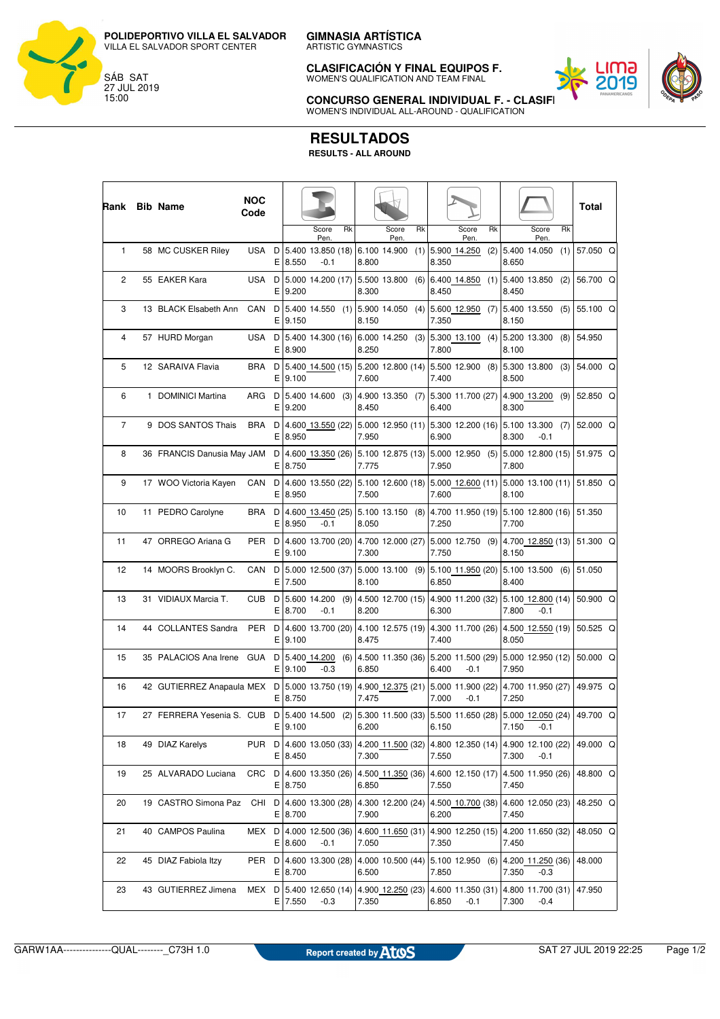

ARTISTIC GYMNASTICS

**CLASIFICACIÓN Y FINAL EQUIPOS F.** WOMEN'S QUALIFICATION AND TEAM FINAL



**CONCURSO GENERAL INDIVIDUAL F. - CLASIFI** WOMEN'S INDIVIDUAL ALL-AROUND - QUALIFICATION

## **RESULTADOS**

**RESULTS - ALL AROUND**

| Rank         | <b>Bib Name</b>            | <b>NOC</b><br>Code |         |             |                                 |     |       |                     |     |       |                             |     |       |                                                                                                  |           | Total    |  |
|--------------|----------------------------|--------------------|---------|-------------|---------------------------------|-----|-------|---------------------|-----|-------|-----------------------------|-----|-------|--------------------------------------------------------------------------------------------------|-----------|----------|--|
|              |                            |                    |         |             | Score<br>Pen.                   | Rk  |       | Score<br>Pen.       | Rk  |       | Score<br>Pen.               | Rk  |       | Score<br>Pen.                                                                                    | <b>Rk</b> |          |  |
| $\mathbf{1}$ | 58 MC CUSKER Riley         | USA                |         | $E$  8.550  | D   5.400 13.850 (18)<br>-0.1   |     | 8.800 | 6.100 14.900        |     | 8.350 | $(1)$ 5.900 14.250          | (2) | 8.650 | 5.400 14.050                                                                                     | (1)       | 57.050 Q |  |
| 2            | 55 EAKER Kara              | USA                | D<br>E. | 9.200       | 5.000 14.200 (17)               |     | 8.300 | 5.500 13.800        | (6) | 8.450 | $6.400$ 14.850 (1)          |     | 8.450 | 5.400 13.850                                                                                     | (2)       | 56.700 Q |  |
| 3            | 13 BLACK Elsabeth Ann      | CAN                | D<br>E. | 9.150       | 5.400 14.550 (1)                |     | 8.150 | $5.900$ 14.050 (4)  |     | 7.350 | 5.600 12.950 (7)            |     | 8.150 | 5.400 13.550                                                                                     | (5)       | 55.100 Q |  |
| 4            | 57 HURD Morgan             | USA                | D<br>E. | 8.900       | 5.400 14.300 (16)               |     | 8.250 | $6.000$ 14.250 (3)  |     | 7.800 | $5.300$ 13.100 (4)          |     | 8.100 | 5.200 13.300                                                                                     | (8)       | 54.950   |  |
| 5            | 12 SARAIVA Flavia          | BRA                | D       | $E$  9.100  | 5.400 14.500 (15)               |     | 7.600 | $5.200$ 12.800 (14) |     | 7.400 | 5.500 12.900 (8)            |     | 8.500 | 5.300 13.800 (3)                                                                                 |           | 54.000 Q |  |
| 6            | 1 DOMINICI Martina         | ARG                | D<br>E. | 9.200       | $5.400$ 14.600 (3)              |     | 8.450 | 4.900 13.350 (7)    |     | 6.400 | 5.300 11.700 (27)           |     | 8.300 | 4.900 13.200 (9)                                                                                 |           | 52.850 Q |  |
| 7            | 9 DOS SANTOS Thais         | BRA                | D       | E 8.950     | 4.600 13.550 (22)               |     | 7.950 | 5.000 12.950 (11)   |     | 6.900 | 5.300 12.200 (16)           |     | 8.300 | 5.100 13.300<br>$-0.1$                                                                           | (7)       | 52.000 Q |  |
| 8            | 36 FRANCIS Danusia May JAM |                    | D<br>E. | 8.750       | 4.600 13.350 (26)               |     | 7.775 | 5.100 12.875 (13)   |     | 7.950 | 5.000 12.950 (5)            |     | 7.800 | 5.000 12.800 (15)                                                                                |           | 51.975 Q |  |
| 9            | 17 WOO Victoria Kayen      | CAN                | D<br>E. | 8.950       | 4.600 13.550 (22)               |     | 7.500 | 5.100 12.600 (18)   |     | 7.600 | 5.000 12.600 (11)           |     | 8.100 | 5.000 13.100 (11)                                                                                |           | 51.850 Q |  |
| 10           | 11 PEDRO Carolyne          | BRA                | D<br>E. | 8.950       | 4.600 13.450 (25)<br>-0.1       |     | 8.050 | $5.100$ 13.150 (8)  |     | 7.250 | 4.700 11.950 (19)           |     | 7.700 | 5.100 12.800 (16)                                                                                |           | 51.350   |  |
| 11           | 47 ORREGO Ariana G         | PER                | D<br>E. | 9.100       | 4.600 13.700 (20)               |     | 7.300 | 4.700 12.000 (27)   |     | 7.750 | 5.000 12.750 (9)            |     | 8.150 | 4.700 12.850 (13)                                                                                |           | 51.300 Q |  |
| 12           | 14 MOORS Brooklyn C.       | CAN                | D<br>E. | 7.500       | 5.000 12.500 (37)               |     | 8.100 | 5.000 13.100 (9)    |     | 6.850 | 5.100 11.950 (20)           |     | 8.400 | $5.100$ 13.500 (6)                                                                               |           | 51.050   |  |
| 13           | 31 VIDIAUX Marcia T.       | CUB                | D<br>E. | 8.700       | 5.600 14.200<br>$-0.1$          | (9) | 8.200 | 4.500 12.700 (15)   |     | 6.300 | 4.900 11.200 (32)           |     | 7.800 | 5.100 12.800 (14)<br>$-0.1$                                                                      |           | 50.900 Q |  |
| 14           | 44 COLLANTES Sandra        | PER                | D<br>E. | 9.100       | 4.600 13.700 (20)               |     | 8.475 | 4.100 12.575 (19)   |     | 7.400 | 4.300 11.700 (26)           |     | 8.050 | 4.500 12.550 (19)                                                                                |           | 50.525 Q |  |
| 15           | 35 PALACIOS Ana Irene      | GUA                | D<br>E. | 9.100       | 5.400 14.200<br>$-0.3$          | (6) | 6.850 | 4.500 11.350 (36)   |     | 6.400 | 5.200 11.500 (29)<br>$-0.1$ |     | 7.950 | 5.000 12.950 (12)                                                                                |           | 50.000 Q |  |
| 16           | 42 GUTIERREZ Anapaula MEX  |                    | D<br>E. | 8.750       | 5.000 13.750 (19)               |     | 7.475 | 4.900 12.375 (21)   |     | 7.000 | 5.000 11.900 (22)<br>$-0.1$ |     | 7.250 | 4.700 11.950 (27)                                                                                |           | 49.975 Q |  |
| 17           | 27 FERRERA Yesenia S. CUB  |                    | Е       | 9.100       |                                 |     | 6.200 |                     |     | 6.150 |                             |     |       | D   5.400 14.500 (2)   5.300 11.500 (33)   5.500 11.650 (28)   5.000 12.050 (24)<br>$7.150 -0.1$ |           | 49.700 Q |  |
| 18           | 49 DIAZ Karelys            | PUR                |         | $E$ 8.450   | D 4.600 13.050 (33)             |     | 7.300 | 4.200 11.500 (32)   |     | 7.550 | 4.800 12.350 (14)           |     | 7.300 | 4.900 12.100 (22)<br>$-0.1$                                                                      |           | 49.000 Q |  |
| 19           | 25 ALVARADO Luciana        | CRC                |         | E 8.750     | D 4.600 13.350 (26)             |     | 6.850 | 4.500 11.350 (36)   |     | 7.550 | 4.600 12.150 (17)           |     | 7.450 | 4.500 11.950 (26)                                                                                |           | 48.800 Q |  |
| 20           | 19 CASTRO Simona Paz       | CHI                |         | E 8.700     | D 4.600 13.300 (28)             |     | 7.900 | 4.300 12.200 (24)   |     | 6.200 | 4.500 10.700 (38)           |     | 7.450 | 4.600 12.050 (23)                                                                                |           | 48.250 Q |  |
| 21           | 40 CAMPOS Paulina          | MEX                |         | E 8.600     | D 4.000 12.500 (36)<br>$-0.1$   |     | 7.050 | 4.600 11.650 (31)   |     | 7.350 | 4.900 12.250 (15)           |     | 7.450 | 4.200 11.650 (32)                                                                                |           | 48.050 Q |  |
| 22           | 45 DIAZ Fabiola Itzy       | PER                |         | $E$   8.700 | D 4.600 13.300 (28)             |     | 6.500 | 4.000 10.500 (44)   |     | 7.850 | 5.100 12.950 (6)            |     | 7.350 | 4.200 11.250 (36)<br>$-0.3$                                                                      |           | 48.000   |  |
| 23           | 43 GUTIERREZ Jimena        | MEX                |         | $E$ 7.550   | $D$ 5.400 12.650 (14)<br>$-0.3$ |     | 7.350 | 4.900 12.250 (23)   |     | 6.850 | 4.600 11.350 (31)<br>$-0.1$ |     | 7.300 | 4.800 11.700 (31)<br>$-0.4$                                                                      |           | 47.950   |  |